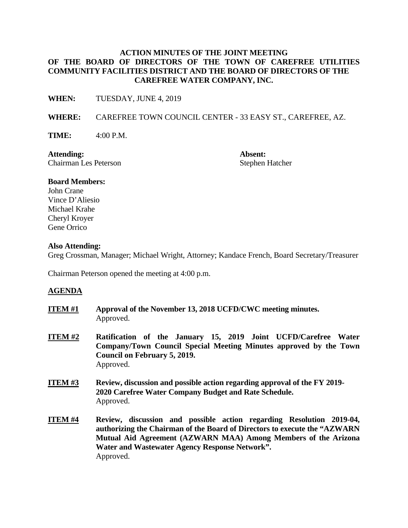# **ACTION MINUTES OF THE JOINT MEETING OF THE BOARD OF DIRECTORS OF THE TOWN OF CAREFREE UTILITIES COMMUNITY FACILITIES DISTRICT AND THE BOARD OF DIRECTORS OF THE CAREFREE WATER COMPANY, INC.**

**WHEN:** TUESDAY, JUNE 4, 2019

**WHERE:** CAREFREE TOWN COUNCIL CENTER - 33 EASY ST., CAREFREE, AZ.

**TIME:** 4:00 P.M.

**Attending: Absent:** Chairman Les Peterson Stephen Hatcher

## **Board Members:**

John Crane Vince D'Aliesio Michael Krahe Cheryl Kroyer Gene Orrico

#### **Also Attending:**

Greg Crossman, Manager; Michael Wright, Attorney; Kandace French, Board Secretary/Treasurer

Chairman Peterson opened the meeting at 4:00 p.m.

## **AGENDA**

- **ITEM #1 Approval of the November 13, 2018 UCFD/CWC meeting minutes.**  Approved.
- **ITEM #2 Ratification of the January 15, 2019 Joint UCFD/Carefree Water Company/Town Council Special Meeting Minutes approved by the Town Council on February 5, 2019.**  Approved.
- **ITEM #3 Review, discussion and possible action regarding approval of the FY 2019- 2020 Carefree Water Company Budget and Rate Schedule.**  Approved.
- **ITEM #4 Review, discussion and possible action regarding Resolution 2019-04, authorizing the Chairman of the Board of Directors to execute the "AZWARN Mutual Aid Agreement (AZWARN MAA) Among Members of the Arizona Water and Wastewater Agency Response Network".**  Approved.